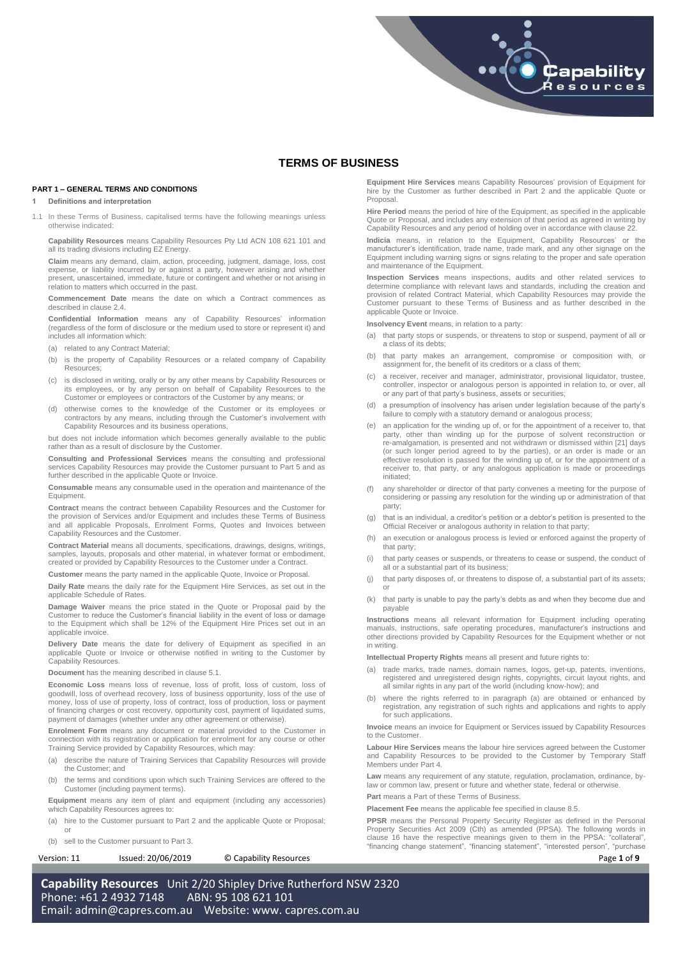# **TERMS OF BUSINESS**

# **PART 1 – GENERAL TERMS AND CONDITIONS**

#### <span id="page-0-0"></span>**1 Definitions and interpretation**

1.1 In these Terms of Business, capitalised terms have the following meanings unless otherwise indicated:

**Capability Resources** means Capability Resources Pty Ltd ACN 108 621 101 and all its trading divisions including EZ Energy.

**Claim** means any demand, claim, action, proceeding, judgment, damage, loss, cost expense, or liability incurred by or against a party, however arising and whether present, unascertained, immediate, future or contingent and whether or not arising in relation to matters which occurred in the past.

**Commencement Date** means the date on which a Contract commences as described in claus[e 2.4.](#page-1-0)

**Confidential Information** means any of Capability Resources' information (regardless of the form of disclosure or the medium used to store or represent it) and includes all information which:

- (a) related to any Contract Material;
- (b) is the property of Capability Resources or a related company of Capability Resources;
- (c) is disclosed in writing, orally or by any other means by Capability Resources or its employees, or by any person on behalf of Capability Resources to the Customer or employees or contractors of the Customer by any means; or
- (d) otherwise comes to the knowledge of the Customer or its employees or contractors by any means, including through the Customer's involvement with Capability Resources and its business operations,

but does not include information which becomes generally available to the public rather than as a result of disclosure by the Customer.

**Consulting and Professional Services** means the consulting and professional services Capability Resources may provide the Customer pursuant to Part 5 and as further described in the applicable Quote or Invoice.

**Consumable** means any consumable used in the operation and maintenance of the Equipment.

**Contract** means the contract between Capability Resources and the Customer for the provision of Services and/or Equipment and includes these Terms of Business and all applicable Proposals, Enrolment Forms, Quotes and Invoices between Capability Resources and the Customer.

**Contract Material** means all documents, specifications, drawings, designs, writings, samples, layouts, proposals and other material, in whatever format or embodiment, created or provided by Capability Resources to the Customer under a Contract.

**Customer** means the party named in the applicable Quote, Invoice or Proposal.

**Daily Rate** means the daily rate for the Equipment Hire Services, as set out in the applicable Schedule of Rates.

**Damage Waiver** means the price stated in the Quote or Proposal paid by the Customer to reduce the Customer's financial liability in the event of loss or damage to the Equipment which shall be 12% of the Equipment Hire Prices set out in an applicable invoice.

**Delivery Date** means the date for delivery of Equipment as specified in an applicable Quote or Invoice or otherwise notified in writing to the Customer by Capability Resources.

**Document** has the meaning described in claus[e 5.1.](#page-1-1)

**Economic Loss** means loss of revenue, loss of profit, loss of custom, loss of goodwill, loss of overhead recovery, loss of business opportunity, loss of the use of money, loss of use of property, loss of contract, loss of production, loss or payment of financing charges or cost recovery, opportunity cost, payment of liquidated sums, payment of damages (whether under any other agreement or otherwise).

**Enrolment Form** means any document or material provided to the Customer in connection with its registration or application for enrolment for any course or other Training Service provided by Capability Resources, which may:

- (a) describe the nature of Training Services that Capability Resources will provide the Customer; and
- (b) the terms and conditions upon which such Training Services are offered to the Customer (including payment terms).

**Equipment** means any item of plant and equipment (including any accessories) which Capability Resources agrees to:

- (a) hire to the Customer pursuant to Part 2 and the applicable Quote or Proposal; or
- (b) sell to the Customer pursuant to Part 3.

Version: 11 **ISSUE 18** Issued: 20/06/2019 © Capability Resources **Page 1** of **9** 

**Equipment Hire Services** means Capability Resources' provision of Equipment for hire by the Customer as further described in Part 2 and the applicable Quote or **Proposal** 

Capability .<br>Resources

**Hire Period** means the period of hire of the Equipment, as specified in the applicable Quote or Proposal, and includes any extension of that period as agreed in writing by Capability Resources and any period of holding over in accordance with claus[e 22.](#page-4-0)

**Indicia** means, in relation to the Equipment, Capability Resources' or the manufacturer's identification, trade name, trade mark, and any other signage on the Equipment including warning signs or signs relating to the proper and safe operation and maintenance of the Equipment.

**Inspection Services** means inspections, audits and other related services to determine compliance with relevant laws and standards, including the creation and provision of related Contract Material, which Capability Resources may provide the Customer pursuant to these Terms of Business and as further described in the applicable Quote or Invoice.

**Insolvency Event** means, in relation to a party:

- (a) that party stops or suspends, or threatens to stop or suspend, payment of all or a class of its debts;
- (b) that party makes an arrangement, compromise or composition with, or assignment for, the benefit of its creditors or a class of them;
- (c) a receiver, receiver and manager, administrator, provisional liquidator, trustee, controller, inspector or analogous person is appointed in relation to, or over, all or any part of that party's business, assets or securities;
- a presumption of insolvency has arisen under legislation because of the party's failure to comply with a statutory demand or analogous process
- (e) an application for the winding up of, or for the appointment of a receiver to, that party, other than winding up for the purpose of solvent reconstruction or re-amalgamation, is presented and not withdrawn or dismissed within [21] days<br>(or such longer period agreed to by the parties), or an order is made or an<br>effective resolution is passed for the winding up of, or for the app receiver to, that party, or any analogous application is made or proceedings initiated;
- (f) any shareholder or director of that party convenes a meeting for the purpose of considering or passing any resolution for the winding up or administration of that party;
- (g) that is an individual, a creditor's petition or a debtor's petition is presented to the Official Receiver or analogous authority in relation to that party;
- (h) an execution or analogous process is levied or enforced against the property of that party;
- (i) that party ceases or suspends, or threatens to cease or suspend, the conduct of all or a substantial part of its business;
- (j) that party disposes of, or threatens to dispose of, a substantial part of its assets; or
- (k) that party is unable to pay the party's debts as and when they become due and payable

**Instructions** means all relevant information for Equipment including operating manuals, instructions, safe operating procedures, manufacturer's instructions and other directions provided by Capability Resources for the Equipment whether or not in writing.

**Intellectual Property Rights** means all present and future rights to:

- (a) trade marks, trade names, domain names, logos, get-up, patents, inventions, registered and unregistered design rights, copyrights, circuit layout rights, and all similar rights in any part of the world (including know-how); and
- (b) where the rights referred to in paragraph (a) are obtained or enhanced by registration, any registration of such rights and applications and rights to apply for such applications.

**Invoice** means an invoice for Equipment or Services issued by Capability Resources to the Customer.

**Labour Hire Services** means the labour hire services agreed between the Customer and Capability Resources to be provided to the Customer by Temporary Staff Members under Part 4.

**Law** means any requirement of any statute, regulation, proclamation, ordinance, bylaw or common law, present or future and whether state, federal or otherwise.

**Part** means a Part of these Terms of Business.

**Placement Fee** means the applicable fee specified in claus[e 8.5.](#page-2-0)

**PPSR** means the Personal Property Security Register as defined in the Personal Property Securities Act 2009 (Cth) as amended (PPSA). The following words in clause 16 have the respective meanings given to them in the PPSA: "collateral", "financing change statement", "financing statement", "interested person", "purchase

**Capability Resources** Unit 2/20 Shipley Drive Rutherford NSW 2320 Phone: +61 2 4932 7148 ABN: 95 108 621 101 Email: [admin@capres.com.au](mailto:admin@capres.com.au) Website: www. capres.com.au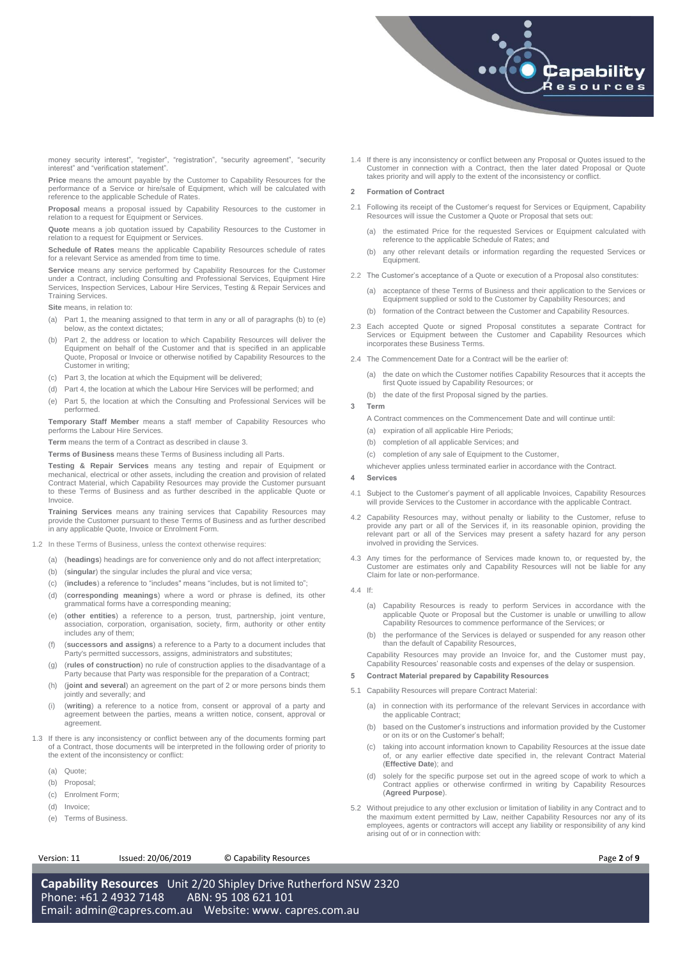

money security interest", "register", "registration", "security agreement", "security interest" and "verification statement".

**Price** means the amount payable by the Customer to Capability Resources for the performance of a Service or hire/sale of Equipment, which will be calculated with reference to the applicable Schedule of Rates.

**Proposal** means a proposal issued by Capability Resources to the customer in relation to a request for Equipment or Services.

**Quote** means a job quotation issued by Capability Resources to the Customer in relation to a request for Equipment or Services.

**Schedule of Rates** means the applicable Capability Resources schedule of rates for a relevant Service as amended from time to time.

**Service** means any service performed by Capability Resources for the Customer under a Contract, including Consulting and Professional Services, Equipment Hire Services, Inspection Services, Labour Hire Services, Testing & Repair Services and Training Services.

**Site** means, in relation to:

- (a) Part 1, the meaning assigned to that term in any or all of paragraphs [\(b\)](#page-1-2) to [\(e\)](#page-1-3) below, as the context dictates;
- <span id="page-1-2"></span>(b) Part 2, the address or location to which Capability Resources will deliver the Equipment on behalf of the Customer and that is specified in an applicable Quote, Proposal or Invoice or otherwise notified by Capability Resources to the Customer in writing;
- (c) Part 3, the location at which the Equipment will be delivered;
- (d) Part 4, the location at which the Labour Hire Services will be performed; and
- <span id="page-1-3"></span>(e) Part 5, the location at which the Consulting and Professional Services will be performed.

**Temporary Staff Member** means a staff member of Capability Resources who performs the Labour Hire Services.

**Term** means the term of a Contract as described in claus[e 3.](#page-1-4)

**Terms of Business** means these Terms of Business including all Parts.

**Testing & Repair Services** means any testing and repair of Equipment or mechanical, electrical or other assets, including the creation and provision of related Contract Material, which Capability Resources may provide the Customer pursuant to these Terms of Business and as further described in the applicable Quote or Invoice.

**Training Services** means any training services that Capability Resources may provide the Customer pursuant to these Terms of Business and as further described in any applicable Quote, Invoice or Enrolment Form.

- 1.2 In these Terms of Business, unless the context otherwise requires:
	- (a) (**headings**) headings are for convenience only and do not affect interpretation;
	- (b) (**singular**) the singular includes the plural and vice versa;
	- (c) (**includes**) a reference to "includes" means "includes, but is not limited to";
	- (d) (**corresponding meanings**) where a word or phrase is defined, its other grammatical forms have a corresponding meaning;
	- (e) (**other entities**) a reference to a person, trust, partnership, joint venture, association, corporation, organisation, society, firm, authority or other entity includes any of them;
	- (f) (**successors and assigns**) a reference to a Party to a document includes that Party's permitted successors, assigns, administrators and substitutes;
	- (g) (**rules of construction**) no rule of construction applies to the disadvantage of a Party because that Party was responsible for the preparation of a Contract;
	- (h) (**joint and several**) an agreement on the part of 2 or more persons binds them jointly and severally; and
	- (i) (**writing**) a reference to a notice from, consent or approval of a party and agreement between the parties, means a written notice, consent, approval or agreement.
- 1.3 If there is any inconsistency or conflict between any of the documents forming part of a Contract, those documents will be interpreted in the following order of priority to the extent of the inconsistency or conflict:
	- (a) Quote;
	- (b) Proposal;
	- (c) Enrolment Form;
	- (d) Invoice;
	- (e) Terms of Business.

# Version: 11 Issued: 20/06/2019 © Capability Resources **Page 2** of **9**

**Capability Resources** Unit 2/20 Shipley Drive Rutherford NSW 2320 Phone: +61 2 4932 7148 ABN: 95 108 621 101 Email: [admin@capres.com.au](mailto:admin@capres.com.au) Website: www. capres.com.au

1.4 If there is any inconsistency or conflict between any Proposal or Quotes issued to the Customer in connection with a Contract, then the later dated Proposal or Quote takes priority and will apply to the extent of the inconsistency or conflict.

# **2 Formation of Contract**

- 2.1 Following its receipt of the Customer's request for Services or Equipment, Capability Resources will issue the Customer a Quote or Proposal that sets out:
	- (a) the estimated Price for the requested Services or Equipment calculated with reference to the applicable Schedule of Rates; and
	- (b) any other relevant details or information regarding the requested Services or Equipment.
- 2.2 The Customer's acceptance of a Quote or execution of a Proposal also constitutes:
	- (a) acceptance of these Terms of Business and their application to the Services or Equipment supplied or sold to the Customer by Capability Resources; and
	- (b) formation of the Contract between the Customer and Capability Resources.
- 2.3 Each accepted Quote or signed Proposal constitutes a separate Contract for Services or Equipment between the Customer and Capability Resources which incorporates these Business Terms.
- <span id="page-1-0"></span>2.4 The Commencement Date for a Contract will be the earlier of:
	- (a) the date on which the Customer notifies Capability Resources that it accepts the first Quote issued by Capability Resources; or
	- (b) the date of the first Proposal signed by the parties.

# <span id="page-1-4"></span>**3 Term**

- A Contract commences on the Commencement Date and will continue until:
- (a) expiration of all applicable Hire Periods;
- (b) completion of all applicable Services; and
- (c) completion of any sale of Equipment to the Customer,
- whichever applies unless terminated earlier in accordance with the Contract.

# **4 Services**

- 4.1 Subject to the Customer's payment of all applicable Invoices, Capability Resources will provide Services to the Customer in accordance with the applicable Contract.
- 4.2 Capability Resources may, without penalty or liability to the Customer, refuse to provide any part or all of the Services if, in its reasonable opinion, providing the relevant part or all of the Services may present a safety hazard for any person involved in providing the Services.
- 4.3 Any times for the performance of Services made known to, or requested by, the Customer are estimates only and Capability Resources will not be liable for any Claim for late or non-performance.
- 4.4 If:
	- (a) Capability Resources is ready to perform Services in accordance with the applicable Quote or Proposal but the Customer is unable or unwilling to allow Capability Resources to commence performance of the Services; or
	- the performance of the Services is delayed or suspended for any reason other than the default of Capability Resources,
	- Capability Resources may provide an Invoice for, and the Customer must pay, Capability Resources' reasonable costs and expenses of the delay or suspension.

# <span id="page-1-5"></span>**5 Contract Material prepared by Capability Resources**

- <span id="page-1-1"></span>5.1 Capability Resources will prepare Contract Material:
	- (a) in connection with its performance of the relevant Services in accordance with the applicable Contract;
	- (b) based on the Customer's instructions and information provided by the Customer or on its or on the Customer's behalf;
	- (c) taking into account information known to Capability Resources at the issue date of, or any earlier effective date specified in, the relevant Contract Material (**Effective Date**); and
	- (d) solely for the specific purpose set out in the agreed scope of work to which a Contract applies or otherwise confirmed in writing by Capability Resources (**Agreed Purpose**).
- 5.2 Without prejudice to any other exclusion or limitation of liability in any Contract and to the maximum extent permitted by Law, neither Capability Resources nor any of its employees, agents or contractors will accept any liability or responsibility of any kind arising out of or in connection with: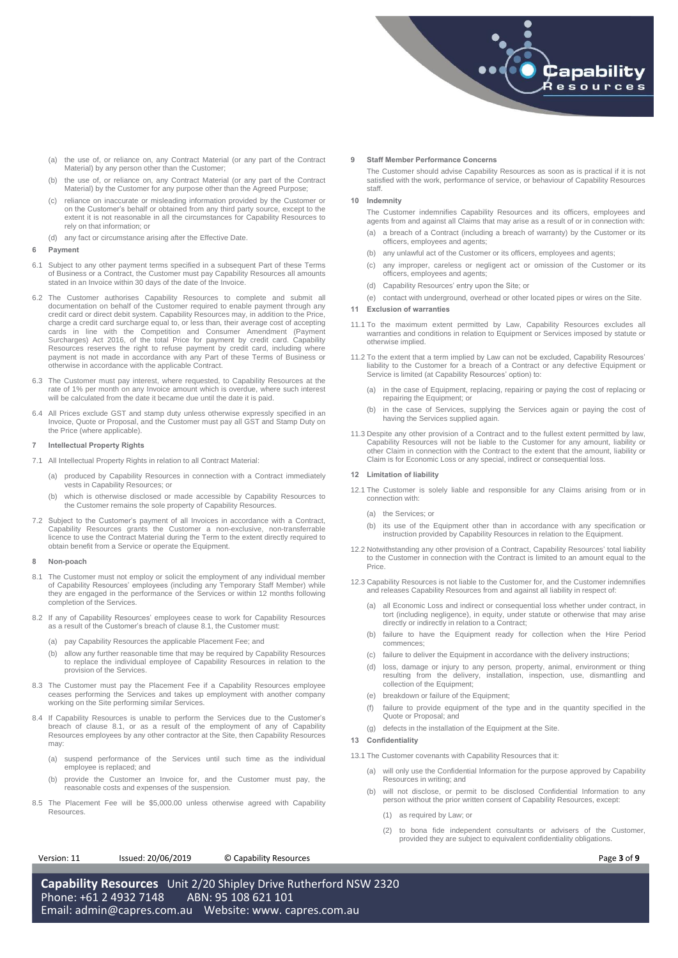

- (a) the use of, or reliance on, any Contract Material (or any part of the Contract Material) by any person other than the Customer;
- (b) the use of, or reliance on, any Contract Material (or any part of the Contract Material) by the Customer for any purpose other than the Agreed Purpose;
- reliance on inaccurate or misleading information provided by the Customer or on the Customer's behalf or obtained from any third party source, except to the extent it is not reasonable in all the circumstances for Capability Resources to rely on that information; or
- (d) any fact or circumstance arising after the Effective Date.

# <span id="page-2-3"></span>**6 Payment**

- 6.1 Subject to any other payment terms specified in a subsequent Part of these Terms of Business or a Contract, the Customer must pay Capability Resources all amounts stated in an Invoice within 30 days of the date of the Invoice.
- 6.2 The Customer authorises Capability Resources to complete and submit all documentation on behalf of the Customer required to enable payment through any credit card or direct debit system. Capability Resources may, in addition to the Price, charge a credit card surcharge equal to, or less than, their average cost of accepting cards in line with the Competition and Consumer Amendment (Payment Surcharges) Act 2016, of the total Price for payment by credit card. Capability Resources reserves the right to refuse payment by credit card, including where payment is not made in accordance with any Part of these Terms of Business or otherwise in accordance with the applicable Contract.
- 6.3 The Customer must pay interest, where requested, to Capability Resources at the rate of 1% per month on any Invoice amount which is overdue, where such interest will be calculated from the date it became due until the date it is paid.
- 6.4 All Prices exclude GST and stamp duty unless otherwise expressly specified in an Invoice, Quote or Proposal, and the Customer must pay all GST and Stamp Duty on the Price (where applicable).

### <span id="page-2-4"></span>**7 Intellectual Property Rights**

- 7.1 All Intellectual Property Rights in relation to all Contract Material:
	- (a) produced by Capability Resources in connection with a Contract immediately vests in Capability Resources; or
	- (b) which is otherwise disclosed or made accessible by Capability Resources to the Customer remains the sole property of Capability Resources.
- 7.2 Subject to the Customer's payment of all Invoices in accordance with a Contract, Capability Resources grants the Customer a non-exclusive, non-transferrable licence to use the Contract Material during the Term to the extent directly required to obtain benefit from a Service or operate the Equipment.

#### <span id="page-2-5"></span>**8 Non-poach**

- <span id="page-2-1"></span>8.1 The Customer must not employ or solicit the employment of any individual member of Capability Resources' employees (including any Temporary Staff Member) while they are engaged in the performance of the Services or within 12 months following completion of the Services.
- 8.2 If any of Capability Resources' employees cease to work for Capability Resources as a result of the Customer's breach of claus[e 8.1,](#page-2-1) the Customer must:
	- (a) pay Capability Resources the applicable Placement Fee; and
	- (b) allow any further reasonable time that may be required by Capability Resources to replace the individual employee of Capability Resources in relation to the provision of the Services.
- 8.3 The Customer must pay the Placement Fee if a Capability Resources employee ceases performing the Services and takes up employment with another company working on the Site performing similar Services.
- 8.4 If Capability Resources is unable to perform the Services due to the Customer's breach of clause [8.1,](#page-2-1) or as a result of the employment of any of Capability Resources employees by any other contractor at the Site, then Capability Resources may:
	- (a) suspend performance of the Services until such time as the individual employee is replaced; and
	- (b) provide the Customer an Invoice for, and the Customer must pay, the reasonable costs and expenses of the suspension.
- <span id="page-2-0"></span>8.5 The Placement Fee will be \$5,000.00 unless otherwise agreed with Capability Resources.

#### **9 Staff Member Performance Concerns**

The Customer should advise Capability Resources as soon as is practical if it is not satisfied with the work, performance of service, or behaviour of Capability Resources staff.

### <span id="page-2-6"></span>**10 Indemnity**

The Customer indemnifies Capability Resources and its officers, employees and agents from and against all Claims that may arise as a result of or in connection with:

- (a) a breach of a Contract (including a breach of warranty) by the Customer or its officers, employees and agents;
- (b) any unlawful act of the Customer or its officers, employees and agents;
- (c) any improper, careless or negligent act or omission of the Customer or its officers, employees and agents;
- (d) Capability Resources' entry upon the Site; or
- (e) contact with underground, overhead or other located pipes or wires on the Site.

# <span id="page-2-7"></span>**11 Exclusion of warranties**

- 11.1 To the maximum extent permitted by Law, Capability Resources excludes all warranties and conditions in relation to Equipment or Services imposed by statute or otherwise implied.
- 11.2 To the extent that a term implied by Law can not be excluded, Capability Resources' liability to the Customer for a breach of a Contract or any defective Equipment or Service is limited (at Capability Resources' option) to:
	- (a) in the case of Equipment, replacing, repairing or paying the cost of replacing or repairing the Equipment; or
	- (b) in the case of Services, supplying the Services again or paying the cost of having the Services supplied again.
- 11.3 Despite any other provision of a Contract and to the fullest extent permitted by law, Capability Resources will not be liable to the Customer for any amount, liability or other Claim in connection with the Contract to the extent that the amount, liability or Claim is for Economic Loss or any special, indirect or consequential loss.

#### <span id="page-2-8"></span>**12 Limitation of liability**

- 12.1 The Customer is solely liable and responsible for any Claims arising from or in connection with:
	- (a) the Services; or
	- (b) its use of the Equipment other than in accordance with any specification or instruction provided by Capability Resources in relation to the Equipment.
- 12.2 Notwithstanding any other provision of a Contract, Capability Resources' total liability to the Customer in connection with the Contract is limited to an amount equal to the Price.
- 12.3 Capability Resources is not liable to the Customer for, and the Customer indemnifies and releases Capability Resources from and against all liability in respect of:
	- (a) all Economic Loss and indirect or consequential loss whether under contract, in tort (including negligence), in equity, under statute or otherwise that may arise directly or indirectly in relation to a Contract;
	- (b) failure to have the Equipment ready for collection when the Hire Period commences;
	- (c) failure to deliver the Equipment in accordance with the delivery instructions;
	- (d) loss, damage or injury to any person, property, animal, environment or thing resulting from the delivery, installation, inspection, use, dismantling and collection of the Equipment:
	- (e) breakdown or failure of the Equipment;
	- failure to provide equipment of the type and in the quantity specified in the Quote or Proposal; and
	- (g) defects in the installation of the Equipment at the Site.

# <span id="page-2-2"></span>**13 Confidentiality**

- 13.1 The Customer covenants with Capability Resources that it:
	- (a) will only use the Confidential Information for the purpose approved by Capability Resources in writing; and
	- (b) will not disclose, or permit to be disclosed Confidential Information to any person without the prior written consent of Capability Resources, except:
		- (1) as required by Law; or
		- (2) to bona fide independent consultants or advisers of the Customer, provided they are subject to equivalent confidentiality obligations.

Version: 11 Issued: 20/06/2019 © Capability Resources **Page 3** of **9**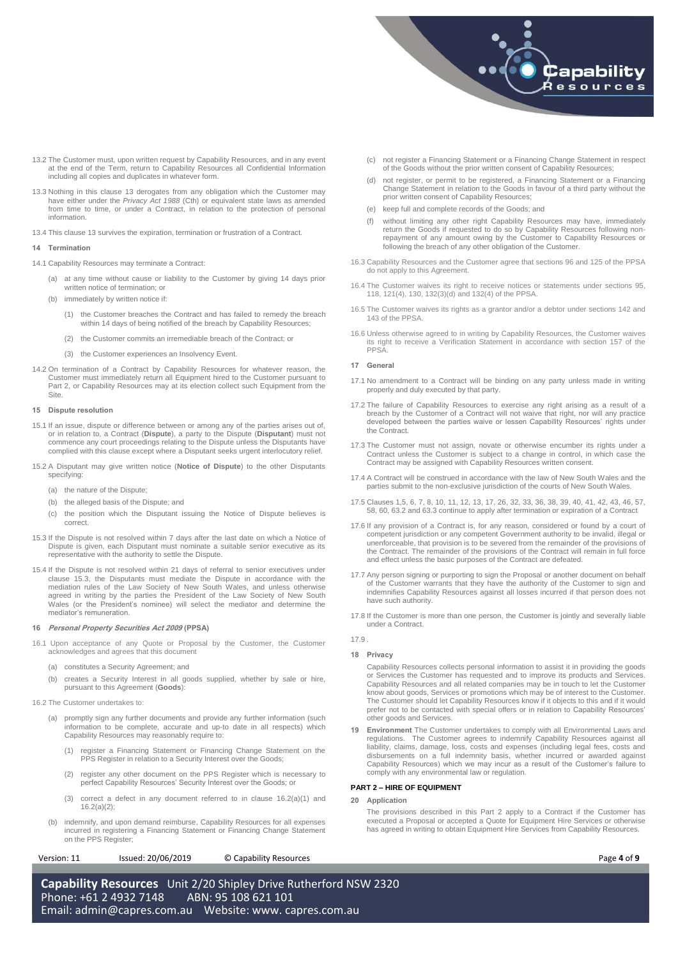

- 13.2 The Customer must, upon written request by Capability Resources, and in any event at the end of the Term, return to Capability Resources all Confidential Information including all copies and duplicates in whatever form.
- 13.3 Nothing in this clause [13](#page-2-2) derogates from any obligation which the Customer may have either under the *Privacy Act 1988* (Cth) or equivalent state laws as amended from time to time, or under a Contract, in relation to the protection of personal information.
- 13.4 This claus[e 13](#page-2-2) survives the expiration, termination or frustration of a Contract.

# **14 Termination**

- <span id="page-3-4"></span>14.1 Capability Resources may terminate a Contract:
	- (a) at any time without cause or liability to the Customer by giving 14 days prior written notice of termination; or
	- (b) immediately by written notice if:
		- (1) the Customer breaches the Contract and has failed to remedy the breach within 14 days of being notified of the breach by Capability Resources;
		- (2) the Customer commits an irremediable breach of the Contract; or
		- (3) the Customer experiences an Insolvency Event.
- 14.2 On termination of a Contract by Capability Resources for whatever reason, the Customer must immediately return all Equipment hired to the Customer pursuant to Part 2, or Capability Resources may at its election collect such Equipment from the Site.

#### **15 Dispute resolution**

- 15.1 If an issue, dispute or difference between or among any of the parties arises out of, or in relation to, a Contract (**Dispute**), a party to the Dispute (**Disputant**) must not commence any court proceedings relating to the Dispute unless the Disputants have complied with this clause except where a Disputant seeks urgent interlocutory relief.
- 15.2 A Disputant may give written notice (**Notice of Dispute**) to the other Disputants specifying:
	- (a) the nature of the Dispute;
	- (b) the alleged basis of the Dispute; and
	- (c) the position which the Disputant issuing the Notice of Dispute believes is correct.
- <span id="page-3-0"></span>15.3 If the Dispute is not resolved within 7 days after the last date on which a Notice of Dispute is given, each Disputant must nominate a suitable senior executive as its representative with the authority to settle the Dispute.
- 15.4 If the Dispute is not resolved within 21 days of referral to senior executives under clause [15.3,](#page-3-0) the Disputants must mediate the Dispute in accordance with the mediation rules of the Law Society of New South Wales, and unless otherwise<br>agreed in writing by the parties the President of the Law Society of New South<br>Wales (or the President's nominee) will select the mediator and det mediator's remuneration.

# **16 Personal Property Securities Act 2009 (PPSA)**

- 16.1 Upon acceptance of any Quote or Proposal by the Customer, the Customer acknowledges and agrees that this document
	- (a) constitutes a Security Agreement; and
	- (b) creates a Security Interest in all goods supplied, whether by sale or hire, pursuant to this Agreement (**Goods**):
- <span id="page-3-2"></span><span id="page-3-1"></span>16.2 The Customer undertakes to:
	- (a) promptly sign any further documents and provide any further information (such information to be complete, accurate and up-to date in all respects) which Capability Resources may reasonably require to:
		- (1) register a Financing Statement or Financing Change Statement on the PPS Register in relation to a Security Interest over the Goods;
		- (2) register any other document on the PPS Register which is necessary to perfect Capability Resources' Security Interest over the Goods; or
		- (3) correct a defect in any document referred to in clause [16.2\(a\)\(1\)](#page-3-1) and [16.2\(a\)\(2\);](#page-3-2)
	- (b) indemnify, and upon demand reimburse, Capability Resources for all expenses incurred in registering a Financing Statement or Financing Change Statement on the PPS Register;

Version: 11 Issued: 20/06/2019 © Capability Resources **Page 4** of **9** 

**Capability Resources** Unit 2/20 Shipley Drive Rutherford NSW 2320 Phone: +61 2 4932 7148 ABN: 95 108 621 101 Email: [admin@capres.com.au](mailto:admin@capres.com.au) Website: www. capres.com.au

- (c) not register a Financing Statement or a Financing Change Statement in respect of the Goods without the prior written consent of Capability Resources;
- (d) not register, or permit to be registered, a Financing Statement or a Financing Change Statement in relation to the Goods in favour of a third party without the prior written consent of Capability Resources;
- (e) keep full and complete records of the Goods; and
- (f) without limiting any other right Capability Resources may have, immediately return the Goods if requested to do so by Capability Resources following non-repayment of any amount owing by the Customer to Capability Resources or following the breach of any other obligation of the Customer.
- 16.3 Capability Resources and the Customer agree that sections 96 and 125 of the PPSA do not apply to this Agreement.
- 16.4 The Customer waives its right to receive notices or statements under sections 95, 118, 121(4), 130, 132(3)(d) and 132(4) of the PPSA.
- 16.5 The Customer waives its rights as a grantor and/or a debtor under sections 142 and 143 of the PPSA
- 16.6 Unless otherwise agreed to in writing by Capability Resources, the Customer waives its right to receive a Verification Statement in accordance with section 157 of the PPSA.

#### <span id="page-3-3"></span>**17 General**

- 17.1 No amendment to a Contract will be binding on any party unless made in writing properly and duly executed by that party.
- 17.2 The failure of Capability Resources to exercise any right arising as a result of a breach by the Customer of a Contract will not waive that right, nor will any practice developed between the parties waive or lessen Capability Resources' rights under the Contract.
- 17.3 The Customer must not assign, novate or otherwise encumber its rights under a Contract unless the Customer is subject to a change in control, in which case the Contract may be assigned with Capability Resources written consent.
- 17.4 A Contract will be construed in accordance with the law of New South Wales and the parties submit to the non-exclusive jurisdiction of the courts of New South Wales.
- 17.5 Clause[s 1,](#page-0-0)[5,](#page-1-5) [6,](#page-2-3) [7,](#page-2-4) [8,](#page-2-5) [10,](#page-2-6) [11,](#page-2-7) [12,](#page-2-8) [13,](#page-2-2) [17,](#page-3-3) [26,](#page-4-1) [32,](#page-4-2) [33,](#page-5-0) [36,](#page-5-1) [38,](#page-5-2) [39,](#page-5-3) [40,](#page-5-4) [41,](#page-5-5) [42,](#page-5-6) [43,](#page-5-7) [46,](#page-6-0) [57,](#page-7-0) [58,](#page-7-1) [60,](#page-7-2) [63.2](#page-8-0) an[d 63.3](#page-8-1) continue to apply after termination or expiration of a Contract
- 17.6 If any provision of a Contract is, for any reason, considered or found by a court of competent jurisdiction or any competent Government authority to be invalid, illegal or unenforceable, that provision is to be severed from the remainder of the provisions of the Contract. The remainder of the provisions of the Contract will remain in full force and effect unless the basic purposes of the Contract are defeated.
- 17.7 Any person signing or purporting to sign the Proposal or another document on behalf of the Customer warrants that they have the authority of the Customer to sign and indemnifies Capability Resources against all losses incurred if that person does not have such authority.
- 17.8 If the Customer is more than one person, the Customer is jointly and severally liable under a Contract.

# 17.9 .

# **18 Privacy**

Capability Resources collects personal information to assist it in providing the goods or Services the Customer has requested and to improve its products and Services. Capability Resources and all related companies may be in touch to let the Customer know about goods, Services or promotions which may be of interest to the Customer. The Customer should let Capability Resources know if it objects to this and if it would prefer not to be contacted with special offers or in relation to Capability Resources' other goods and Services.

**19 Environment** The Customer undertakes to comply with all Environmental Laws and regulations. The Customer agrees to indemnify Capability Resources against all liability, claims, damage, loss, costs and expenses (includi disbursements on a full indemnity basis, whether incurred or awarded against Capability Resources) which we may incur as a result of the Customer's failure to comply with any environmental law or regulation.

# **PART 2 – HIRE OF EQUIPMENT**

# **20 Application**

The provisions described in this Part 2 apply to a Contract if the Customer has executed a Proposal or accepted a Quote for Equipment Hire Services or otherwise has agreed in writing to obtain Equipment Hire Services from Capability Resources.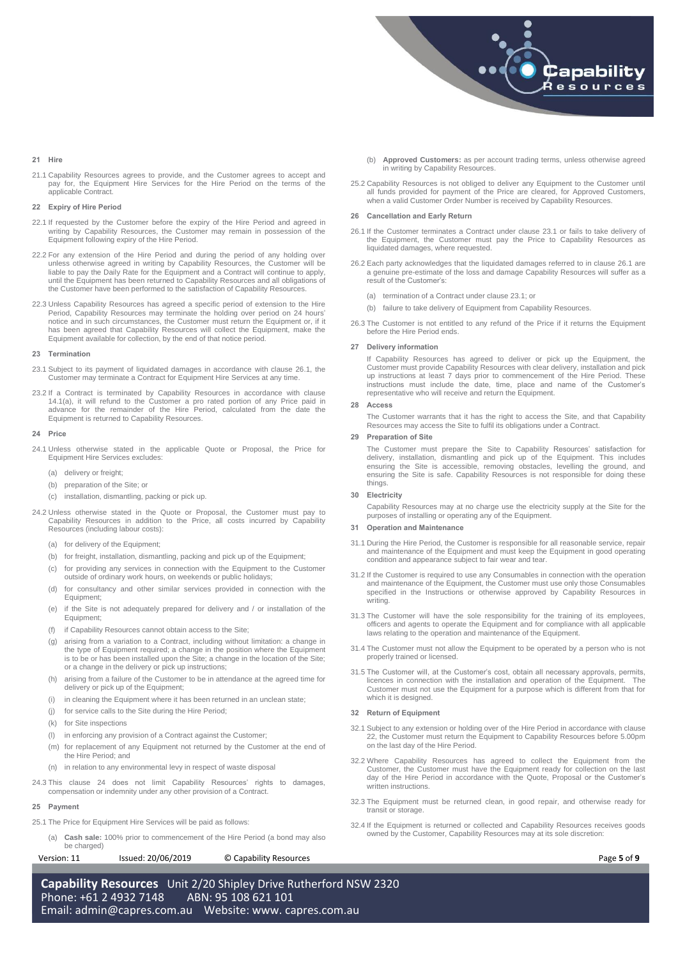

# **21 Hire**

21.1 Capability Resources agrees to provide, and the Customer agrees to accept and pay for, the Equipment Hire Services for the Hire Period on the terms of the applicable Contract.

### <span id="page-4-0"></span>**22 Expiry of Hire Period**

- 22.1 If requested by the Customer before the expiry of the Hire Period and agreed in writing by Capability Resources, the Customer may remain in possession of the Equipment following expiry of the Hire Period.
- 22.2 For any extension of the Hire Period and during the period of any holding over unless otherwise agreed in writing by Capability Resources, the Customer will be liable to pay the Daily Rate for the Equipment and a Contract will continue to apply, until the Equipment has been returned to Capability Resources and all obligations of the Customer have been performed to the satisfaction of Capability Resources.
- 22.3 Unless Capability Resources has agreed a specific period of extension to the Hire Period, Capability Resources may terminate the holding over period on 24 hours' notice and in such circumstances, the Customer must return the Equipment or, if it has been agreed that Capability Resources will collect the Equipment, make the Equipment available for collection, by the end of that notice period.

### **23 Termination**

- <span id="page-4-5"></span>23.1 Subject to its payment of liquidated damages in accordance with clause [26.1,](#page-4-3) the Customer may terminate a Contract for Equipment Hire Services at any time.
- 23.2 If a Contract is terminated by Capability Resources in accordance with clause [14.1\(a\),](#page-3-4) it will refund to the Customer a pro rated portion of any Price paid in advance for the remainder of the Hire Period, calculated from the date the Equipment is returned to Capability Resources.

#### <span id="page-4-4"></span>**24 Price**

- 24.1 Unless otherwise stated in the applicable Quote or Proposal, the Price for Equipment Hire Services excludes:
	- (a) delivery or freight:
	- (b) preparation of the Site; or
	- (c) installation, dismantling, packing or pick up.
- 24.2 Unless otherwise stated in the Quote or Proposal, the Customer must pay to Capability Resources in addition to the Price, all costs incurred by Capability Resources (including labour costs):
	- (a) for delivery of the Equipment:
	- (b) for freight, installation, dismantling, packing and pick up of the Equipment;
	- (c) for providing any services in connection with the Equipment to the Customer outside of ordinary work hours, on weekends or public holidays;
	- (d) for consultancy and other similar services provided in connection with the Equipment;
	- (e) if the Site is not adequately prepared for delivery and / or installation of the Equipment;
	- (f) if Capability Resources cannot obtain access to the Site;
	- (g) arising from a variation to a Contract, including without limitation: a change in the type of Equipment required; a change in the position where the Equipment is to be or has been installed upon the Site; a change in the location of the Site; or a change in the delivery or pick up instructions;
	- (h) arising from a failure of the Customer to be in attendance at the agreed time for delivery or pick up of the Equipment;
	- (i) in cleaning the Equipment where it has been returned in an unclean state;
	- (j) for service calls to the Site during the Hire Period;
	- (k) for Site inspections
	- (l) in enforcing any provision of a Contract against the Customer;
	- (m) for replacement of any Equipment not returned by the Customer at the end of the Hire Period; and
	- (n) in relation to any environmental levy in respect of waste disposal
- 24.3 This clause [24](#page-4-4) does not limit Capability Resources' rights to damages, compensation or indemnity under any other provision of a Contract.

#### **25 Payment**

- 25.1 The Price for Equipment Hire Services will be paid as follows:
	- (a) **Cash sale:** 100% prior to commencement of the Hire Period (a bond may also be charged)

Version: 11 Issued: 20/06/2019 © Capability Resources **Page 5** of **9** 

**Capability Resources** Unit 2/20 Shipley Drive Rutherford NSW 2320 Phone: +61 2 4932 7148 ABN: 95 108 621 101 Email: [admin@capres.com.au](mailto:admin@capres.com.au) Website: www. capres.com.au

- (b) **Approved Customers:** as per account trading terms, unless otherwise agreed in writing by Capability Resources.
- 25.2 Capability Resources is not obliged to deliver any Equipment to the Customer until all funds provided for payment of the Price are cleared, for Approved Customers, when a valid Customer Order Number is received by Capability Resources.

# <span id="page-4-1"></span>**26 Cancellation and Early Return**

- <span id="page-4-3"></span>26.1 If the Customer terminates a Contract under claus[e 23.1](#page-4-5) or fails to take delivery of the Equipment, the Customer must pay the Price to Capability Resources as liquidated damages, where requested.
- 26.2 Each party acknowledges that the liquidated damages referred to in clause [26.1](#page-4-3) are a genuine pre-estimate of the loss and damage Capability Resources will suffer as a result of the Customer's:
	- (a) termination of a Contract under claus[e 23.1;](#page-4-5) or
	- (b) failure to take delivery of Equipment from Capability Resources.
- 26.3 The Customer is not entitled to any refund of the Price if it returns the Equipment before the Hire Period ends.

### **27 Delivery information**

If Capability Resources has agreed to deliver or pick up the Equipment, the Customer must provide Capability Resources with clear delivery, installation and pick up instructions at least 7 days prior to commencement of the Hire Period. These instructions must include the date, time, place and name of the Customer's representative who will receive and return the Equipment.

# **28 Access**

The Customer warrants that it has the right to access the Site, and that Capability Resources may access the Site to fulfil its obligations under a Contract.

# **29 Preparation of Site**

The Customer must prepare the Site to Capability Resources' satisfaction for delivery, installation, dismantling and pick up of the Equipment. This includes ensuring the Site is accessible, removing obstacles, levelling the ground, and ensuring the Site is safe. Capability Resources is not responsible for doing these things.

#### **30 Electricity**

Capability Resources may at no charge use the electricity supply at the Site for the purposes of installing or operating any of the Equipment.

# **31 Operation and Maintenance**

- 31.1 During the Hire Period, the Customer is responsible for all reasonable service, repair and maintenance of the Equipment and must keep the Equipment in good operating condition and appearance subject to fair wear and tear.
- 31.2 If the Customer is required to use any Consumables in connection with the operation and maintenance of the Equipment, the Customer must use only those Consumables specified in the Instructions or otherwise approved by Capability Resources in writing.
- 31.3 The Customer will have the sole responsibility for the training of its employees, officers and agents to operate the Equipment and for compliance with all applicable laws relating to the operation and maintenance of the Equipment.
- 31.4 The Customer must not allow the Equipment to be operated by a person who is not properly trained or licensed.
- 31.5 The Customer will, at the Customer's cost, obtain all necessary approvals, permits, licences in connection with the installation and operation of the Equipment. The Customer must not use the Equipment for a purpose which is different from that for which it is designed.

## <span id="page-4-2"></span>**32 Return of Equipment**

- 32.1 Subject to any extension or holding over of the Hire Period in accordance with clause [22,](#page-4-0) the Customer must return the Equipment to Capability Resources before 5.00pm on the last day of the Hire Period.
- 32.2 Where Capability Resources has agreed to collect the Equipment from the Customer, the Customer must have the Equipment ready for collection on the last day of the Hire Period in accordance with the Quote, Proposal or the Customer's written instructions.
- 32.3 The Equipment must be returned clean, in good repair, and otherwise ready for transit or storage.
- 32.4 If the Equipment is returned or collected and Capability Resources receives goods owned by the Customer, Capability Resources may at its sole discretion: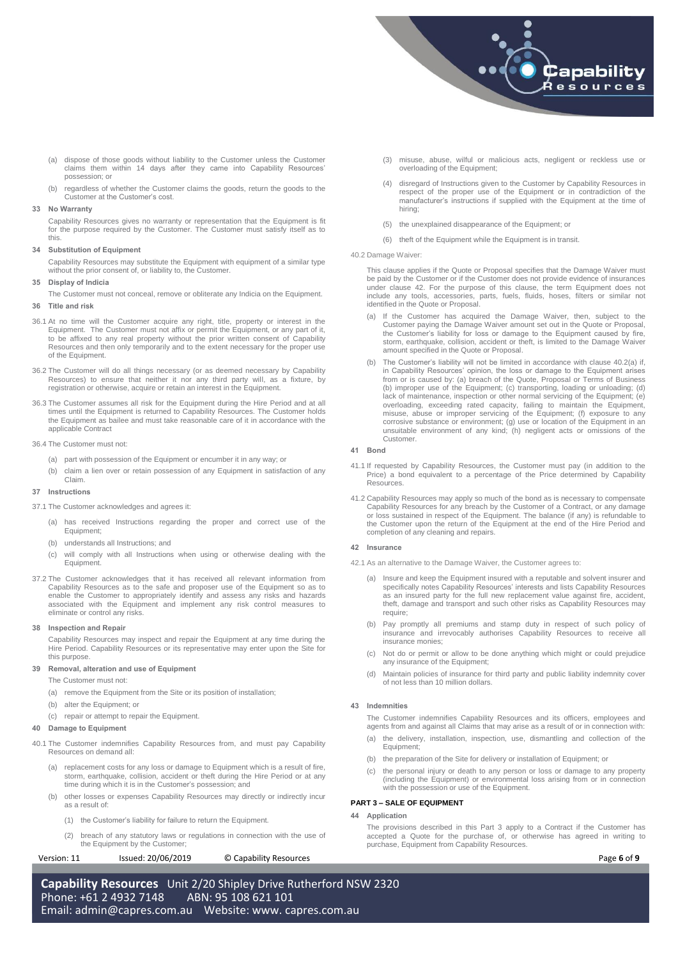

- (a) dispose of those goods without liability to the Customer unless the Customer claims them within 14 days after they came into Capability Resources' possession; or
- (b) regardless of whether the Customer claims the goods, return the goods to the Customer at the Customer's cost.

# <span id="page-5-0"></span>**33 No Warranty**

Capability Resources gives no warranty or representation that the Equipment is fit for the purpose required by the Customer. The Customer must satisfy itself as to this.

#### **34 Substitution of Equipment**

Capability Resources may substitute the Equipment with equipment of a similar type without the prior consent of, or liability to, the Customer.

**35 Display of Indicia**

- The Customer must not conceal, remove or obliterate any Indicia on the Equipment.
- <span id="page-5-1"></span>**36 Title and risk**
- 36.1 At no time will the Customer acquire any right, title, property or interest in the Equipment. The Customer must not affix or permit the Equipment, or any part of it, to be affixed to any real property without the prior written consent of Capability Resources and then only temporarily and to the extent necessary for the proper use of the Equipment.
- 36.2 The Customer will do all things necessary (or as deemed necessary by Capability Resources) to ensure that neither it nor any third party will, as a fixture, by registration or otherwise, acquire or retain an interest in the Equipment.
- 36.3 The Customer assumes all risk for the Equipment during the Hire Period and at all times until the Equipment is returned to Capability Resources. The Customer holds the Equipment as bailee and must take reasonable care of it in accordance with the applicable Contract
- 36.4 The Customer must not:
	- (a) part with possession of the Equipment or encumber it in any way; or
	- (b) claim a lien over or retain possession of any Equipment in satisfaction of any Claim.

## **37 Instructions**

- 37.1 The Customer acknowledges and agrees it:
	- (a) has received Instructions regarding the proper and correct use of the Equipment;
	- (b) understands all Instructions; and
	- (c) will comply with all Instructions when using or otherwise dealing with the Equipment.
- 37.2 The Customer acknowledges that it has received all relevant information from Capability Resources as to the safe and proposer use of the Equipment so as to enable the Customer to appropriately identify and assess any risks and hazards associated with the Equipment and implement any risk control measures to eliminate or control any risks.

#### <span id="page-5-2"></span>**38 Inspection and Repair**

Capability Resources may inspect and repair the Equipment at any time during the Hire Period. Capability Resources or its representative may enter upon the Site for this purpose.

# <span id="page-5-3"></span>**39 Removal, alteration and use of Equipment**

The Customer must not:

- (a) remove the Equipment from the Site or its position of installation;
- (b) alter the Equipment; or
- (c) repair or attempt to repair the Equipment.

# <span id="page-5-4"></span>**40 Damage to Equipment**

- 40.1 The Customer indemnifies Capability Resources from, and must pay Capability Resources on demand all:
	- (a) replacement costs for any loss or damage to Equipment which is a result of fire, storm, earthquake, collision, accident or theft during the Hire Period or at any time during which it is in the Customer's possession; and
	- (b) other losses or expenses Capability Resources may directly or indirectly incur as a result of:
		- (1) the Customer's liability for failure to return the Equipment.
	- (2) breach of any statutory laws or regulations in connection with the use of the Equipment by the Customer;

# Version: 11 Issued: 20/06/2019 © Capability Resources **Page 6** of **9**

**Capability Resources** Unit 2/20 Shipley Drive Rutherford NSW 2320 Phone: +61 2 4932 7148 ABN: 95 108 621 101 Email: [admin@capres.com.au](mailto:admin@capres.com.au) Website: www. capres.com.au

- (3) misuse, abuse, wilful or malicious acts, negligent or reckless use or overloading of the Equipment;
- (4) disregard of Instructions given to the Customer by Capability Resources in respect of the proper use of the Equipment or in contradiction of the manufacturer's instructions if supplied with the Equipment at the time of hiring;
- (5) the unexplained disappearance of the Equipment; or
- (6) theft of the Equipment while the Equipment is in transit.

#### 40.2 Damage Waiver:

This clause applies if the Quote or Proposal specifies that the Damage Waiver must be paid by the Customer or if the Customer does not provide evidence of insurances under clause 42. For the purpose of this clause, the term Equipment does not include any tools, accessories, parts, fuels, fluids, hoses, filters or similar not identified in the Quote or Proposal.

- (a) If the Customer has acquired the Damage Waiver, then, subject to the Customer paying the Damage Waiver amount set out in the Quote or Proposal, the Customer's liability for loss or damage to the Equipment caused by fire, storm, earthquake, collision, accident or theft, is limited to the Damage Waiver amount specified in the Quote or Proposal.
- (b) The Customer's liability will not be limited in accordance with clause 40.2(a) if, in Capability Resources' opinion, the loss or damage to the Equipment arises from or is caused by: (a) breach of the Quote, Proposal or Terms of Business (b) improper use of the Equipment; (c) transporting, loading or unloading; (d) lack of maintenance, inspection or other normal servicing of the Equipment; (e) overloading, exceeding rated capacity, failing to maintain the Equipment, misuse, abuse or improper servicing of the Equipment; (f) exposure to any corrosive substance or environment; (g) use or location of the Equipment i Customer.

#### <span id="page-5-5"></span>**41 Bond**

- 41.1 If requested by Capability Resources, the Customer must pay (in addition to the Price) a bond equivalent to a percentage of the Price determined by Capability Resources.
- 41.2 Capability Resources may apply so much of the bond as is necessary to compensate Capability Resources for any breach by the Customer of a Contract, or any damage or loss sustained in respect of the Equipment. The balance (if any) is refundable to the Customer upon the return of the Equipment at the end of the Hire Period and completion of any cleaning and repairs.

#### <span id="page-5-6"></span>**42 Insurance**

- 42.1 As an alternative to the Damage Waiver, the Customer agrees to:
	- (a) Insure and keep the Equipment insured with a reputable and solvent insurer and specifically notes Capability Resources' interests and lists Capability Resources as an insured party for the full new replacement value against fire, accident, theft, damage and transport and such other risks as Capability Resources may require;
	- (b) Pay promptly all premiums and stamp duty in respect of such policy of insurance and irrevocably authorises Capability Resources to receive all insurance monies;
	- (c) Not do or permit or allow to be done anything which might or could prejudice any insurance of the Equipment:
	- (d) Maintain policies of insurance for third party and public liability indemnity cover of not less than 10 million dollars.

# <span id="page-5-7"></span>**43 Indemnities**

The Customer indemnifies Capability Resources and its officers, employees and agents from and against all Claims that may arise as a result of or in connection with:

- (a) the delivery, installation, inspection, use, dismantling and collection of the Equipment;
- (b) the preparation of the Site for delivery or installation of Equipment; or
- (c) the personal injury or death to any person or loss or damage to any property (including the Equipment) or environmental loss arising from or in connection with the possession or use of the Equipment.

#### **PART 3 – SALE OF EQUIPMENT**

# **44 Application**

The provisions described in this Part 3 apply to a Contract if the Customer has accepted a Quote for the purchase of, or otherwise has agreed in writing to purchase, Equipment from Capability Resources.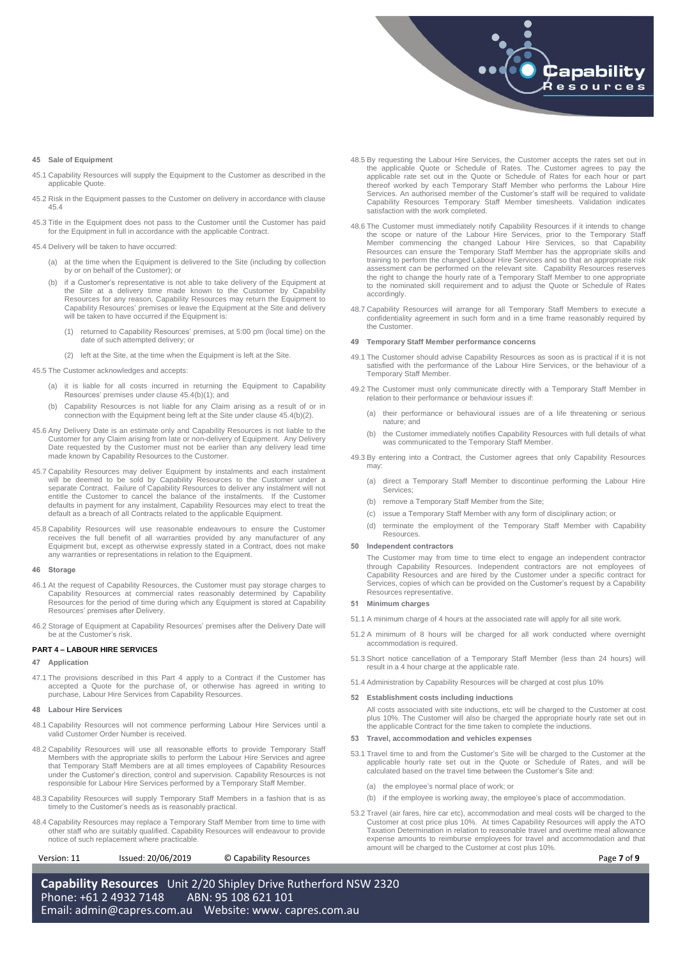

### **45 Sale of Equipment**

- 45.1 Capability Resources will supply the Equipment to the Customer as described in the applicable Quote.
- 45.2 Risk in the Equipment passes to the Customer on delivery in accordance with clause 45.4
- 45.3 Title in the Equipment does not pass to the Customer until the Customer has paid for the Equipment in full in accordance with the applicable Contract.

45.4 Delivery will be taken to have occurred:

- (a) at the time when the Equipment is delivered to the Site (including by collection by or on behalf of the Customer); or
- (b) if a Customer's representative is not able to take delivery of the Equipment at the Site at a delivery time made known to the Customer by Capability Resources for any reason, Capability Resources may return the Equipment to Capability Resources' premises or leave the Equipment at the Site and delivery will be taken to have occurred if the Equipment is:
	- (1) returned to Capability Resources' premises, at 5:00 pm (local time) on the date of such attempted delivery; or
	- (2) left at the Site, at the time when the Equipment is left at the Site.

<span id="page-6-2"></span><span id="page-6-1"></span>45.5 The Customer acknowledges and accepts:

- (a) it is liable for all costs incurred in returning the Equipment to Capability Resources' premises under claus[e 45.4\(b\)\(1\);](#page-6-1) and
- (b) Capability Resources is not liable for any Claim arising as a result of or in connection with the Equipment being left at the Site under clause 45.4(b)(2).
- 45.6 Any Delivery Date is an estimate only and Capability Resources is not liable to the Customer for any Claim arising from late or non-delivery of Equipment. Any Delivery Date requested by the Customer must not be earlier than any delivery lead time made known by Capability Resources to the Customer.
- 45.7 Capability Resources may deliver Equipment by instalments and each instalment will be deemed to be sold by Capability Resources to the Customer under a separate Contract. Failure of Capability Resources to deliver any instalment will not entitle the Customer to cancel the balance of the instalments. If the Customer defaults in payment for any instalment, Capability Resources may elect to treat the default as a breach of all Contracts related to the applicable Equipment.
- 45.8 Capability Resources will use reasonable endeavours to ensure the Customer receives the full benefit of all warranties provided by any manufacturer of any Equipment but, except as otherwise expressly stated in a Contr any warranties or representations in relation to the Equipment.

#### <span id="page-6-0"></span>**46 Storage**

- 46.1 At the request of Capability Resources, the Customer must pay storage charges to Capability Resources at commercial rates reasonably determined by Capability Resources for the period of time during which any Equipment is stored at Capability Resources' premises after Delivery.
- 46.2 Storage of Equipment at Capability Resources' premises after the Delivery Date will be at the Customer's risk.

# **PART 4 – LABOUR HIRE SERVICES**

# **47 Application**

47.1 The provisions described in this Part 4 apply to a Contract if the Customer has accepted a Quote for the purchase of, or otherwise has agreed in writing to purchase, Labour Hire Services from Capability Resources.

#### **48 Labour Hire Services**

- 48.1 Capability Resources will not commence performing Labour Hire Services until a valid Customer Order Number is received.
- 48.2 Capability Resources will use all reasonable efforts to provide Temporary Staff Members with the appropriate skills to perform the Labour Hire Services and agree that Temporary Staff Members are at all times employees of Capability Resources under the Customer's direction, control and supervision. Capability Resources is not responsible for Labour Hire Services performed by a Temporary Staff Member.
- 48.3 Capability Resources will supply Temporary Staff Members in a fashion that is as timely to the Customer's needs as is reasonably practical.
- 48.4 Capability Resources may replace a Temporary Staff Member from time to time with other staff who are suitably qualified. Capability Resources will endeavour to provide notice of such replacement where practicable.

Version: 11 Issued: 20/06/2019 © Capability Resources **Page 7** of **9** 

- 48.5 By requesting the Labour Hire Services, the Customer accepts the rates set out in the applicable Quote or Schedule of Rates. The Customer agrees to pay the applicable rate set out in the Quote or Schedule of Rates for each hour or part thereof worked by each Temporary Staff Member who performs the Labour Hire<br>Services. An authorised member of the Customer's staff will be required to validate<br>Capability Resources Temporary Staff Member timesheets. Validat satisfaction with the work completed.
- 48.6 The Customer must immediately notify Capability Resources if it intends to change<br>the scope or nature of the Labour Hire Services, prior to the Temporary Staff<br>Member commencing the changed Labour Hire Services, so th training to perform the changed Labour Hire Services and so that an appropriate risk assessment can be performed on the relevant site. Capability Resources reserves the right to change the hourly rate of a Temporary Staff Member to one appropriate to the nominated skill requirement and to adjust the Quote or Schedule of Rates accordingly.
- 48.7 Capability Resources will arrange for all Temporary Staff Members to execute a confidentiality agreement in such form and in a time frame reasonably required by the Customer.

# **49 Temporary Staff Member performance concerns**

- 49.1 The Customer should advise Capability Resources as soon as is practical if it is not satisfied with the performance of the Labour Hire Services, or the behaviour of a Temporary Staff Member.
- 49.2 The Customer must only communicate directly with a Temporary Staff Member in relation to their performance or behaviour issues if:
	- (a) their performance or behavioural issues are of a life threatening or serious nature; and
	- (b) the Customer immediately notifies Capability Resources with full details of what was communicated to the Temporary Staff Member.
- 49.3 By entering into a Contract, the Customer agrees that only Capability Resources may:
	- (a) direct a Temporary Staff Member to discontinue performing the Labour Hire Services;
	- (b) remove a Temporary Staff Member from the Site;
	- (c) issue a Temporary Staff Member with any form of disciplinary action; or
	- (d) terminate the employment of the Temporary Staff Member with Capability Resources.

# **50 Independent contractors**

The Customer may from time to time elect to engage an independent contractor through Capability Resources. Independent contractors are not employees of Capability Resources and are hired by the Customer under a specific contract for Services, copies of which can be provided on the Customer's request by a Capability Resources representative.

# **51 Minimum charges**

- 51.1 A minimum charge of 4 hours at the associated rate will apply for all site work.
- 51.2 A minimum of 8 hours will be charged for all work conducted where overnight accommodation is required.
- 51.3 Short notice cancellation of a Temporary Staff Member (less than 24 hours) will result in a 4 hour charge at the applicable rate.
- 51.4 Administration by Capability Resources will be charged at cost plus 10%

#### **52 Establishment costs including inductions**

All costs associated with site inductions, etc will be charged to the Customer at cost plus 10%. The Customer will also be charged the appropriate hourly rate set out in the applicable Contract for the time taken to complete the inductions.

## <span id="page-6-3"></span>**53 Travel, accommodation and vehicles expenses**

- 53.1 Travel time to and from the Customer's Site will be charged to the Customer at the applicable hourly rate set out in the Quote or Schedule of Rates, and will be calculated based on the travel time between the Customer's Site and:
	- (a) the employee's normal place of work; or
	- (b) if the employee is working away, the employee's place of accommodation.
- 53.2 Travel (air fares, hire car etc), accommodation and meal costs will be charged to the Customer at cost price plus 10%. At times Capability Resources will apply the ATO Taxation Determination in relation to reasonable travel and overtime meal allowance expense amounts to reimburse employees for travel and accommodation and that amount will be charged to the Customer at cost plus 10%.

**Capability Resources** Unit 2/20 Shipley Drive Rutherford NSW 2320 Phone: +61 2 4932 7148 ABN: 95 108 621 101 Email: [admin@capres.com.au](mailto:admin@capres.com.au) Website: www. capres.com.au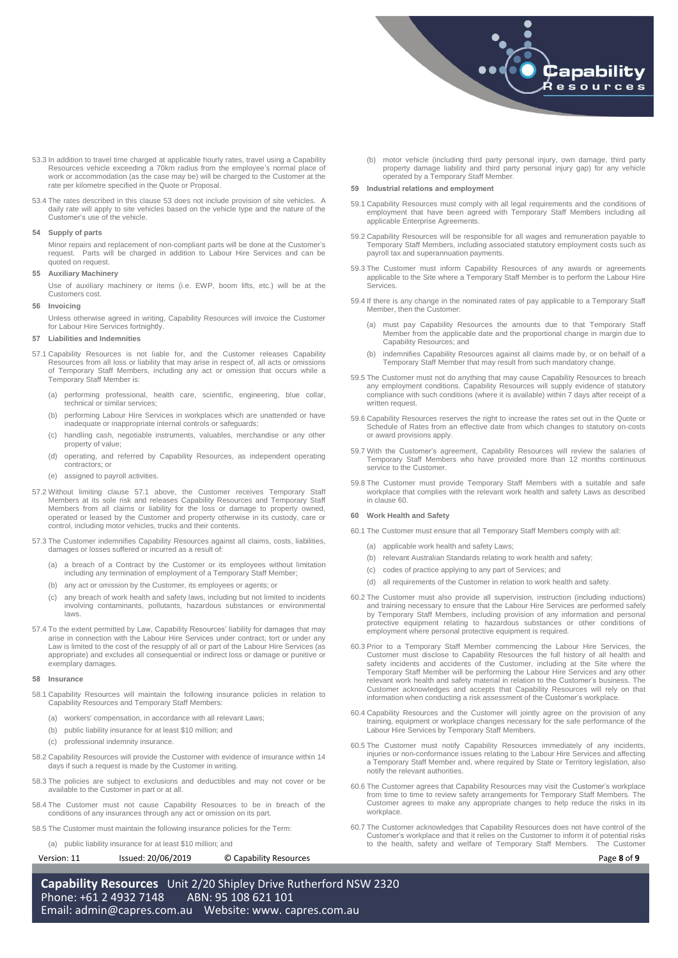

- 53.3 In addition to travel time charged at applicable hourly rates, travel using a Capability Resources vehicle exceeding a 70km radius from the employee's normal place of work or accommodation (as the case may be) will be charged to the Customer at the rate per kilometre specified in the Quote or Proposal.
- 53.4 The rates described in this clause [53](#page-6-3) does not include provision of site vehicles. A daily rate will apply to site vehicles based on the vehicle type and the nature of the Customer's use of the vehicle.

## **54 Supply of parts**

Minor repairs and replacement of non-compliant parts will be done at the Customer's request. Parts will be charged in addition to Labour Hire Services and can be quoted on request.

# **55 Auxiliary Machinery**

Use of auxiliary machinery or items (i.e. EWP, boom lifts, etc.) will be at the Customers cost.

# **56 Invoicing**

Unless otherwise agreed in writing, Capability Resources will invoice the Customer for Labour Hire Services fortnightly.

# <span id="page-7-0"></span>**57 Liabilities and Indemnities**

- <span id="page-7-3"></span>57.1 Capability Resources is not liable for, and the Customer releases Capability Resources from all loss or liability that may arise in respect of, all acts or omissions of Temporary Staff Members, including any act or omission that occurs while a Temporary Staff Member is:
	- performing professional, health care, scientific, engineering, blue collar, technical or similar services;
	- (b) performing Labour Hire Services in workplaces which are unattended or have inadequate or inappropriate internal controls or safeguards;
	- (c) handling cash, negotiable instruments, valuables, merchandise or any other property of value;
	- (d) operating, and referred by Capability Resources, as independent operating contractors; or
	- (e) assigned to payroll activities.
- 57.2 Without limiting clause [57.1](#page-7-3) above, the Customer receives Temporary Staff Members at its sole risk and releases Capability Resources and Temporary Staff Members from all claims or liability for the loss or damage to property owned, operated or leased by the Customer and property otherwise in its custody, care or control, including motor vehicles, trucks and their contents.
- 57.3 The Customer indemnifies Capability Resources against all claims, costs, liabilities, damages or losses suffered or incurred as a result of:
	- (a) a breach of a Contract by the Customer or its employees without limitation including any termination of employment of a Temporary Staff Member;
	- (b) any act or omission by the Customer, its employees or agents; or
	- (c) any breach of work health and safety laws, including but not limited to incidents involving contaminants, pollutants, hazardous substances or environmental laws.
- 57.4 To the extent permitted by Law, Capability Resources' liability for damages that may arise in connection with the Labour Hire Services under contract, tort or under any Law is limited to the cost of the resupply of all or part of the Labour Hire Services (as appropriate) and excludes all consequential or indirect loss or damage or punitive or exemplary damages.

### <span id="page-7-1"></span>**58 Insurance**

- 58.1 Capability Resources will maintain the following insurance policies in relation to Capability Resources and Temporary Staff Members:
	- (a) workers' compensation, in accordance with all relevant Laws;
	- (b) public liability insurance for at least \$10 million; and
	- (c) professional indemnity insurance.
- 58.2 Capability Resources will provide the Customer with evidence of insurance within 14 days if such a request is made by the Customer in writing.
- 58.3 The policies are subject to exclusions and deductibles and may not cover or be available to the Customer in part or at all.
- 58.4 The Customer must not cause Capability Resources to be in breach of the conditions of any insurances through any act or omission on its part.
- 58.5 The Customer must maintain the following insurance policies for the Term:
	- (a) public liability insurance for at least \$10 million; and

### Version: 11 Issued: 20/06/2019 © Capability Resources **Page 8** of **9**

**Capability Resources** Unit 2/20 Shipley Drive Rutherford NSW 2320 Phone: +61 2 4932 7148 ABN: 95 108 621 101 Email: [admin@capres.com.au](mailto:admin@capres.com.au) Website: www. capres.com.au

(b) motor vehicle (including third party personal injury, own damage, third party property damage liability and third party personal injury gap) for any vehicle operated by a Temporary Staff Member.

## **59 Industrial relations and employment**

- 59.1 Capability Resources must comply with all legal requirements and the conditions of employment that have been agreed with Temporary Staff Members including all applicable Enterprise Agreements.
- 59.2 Capability Resources will be responsible for all wages and remuneration payable to Temporary Staff Members, including associated statutory employment costs such as payroll tax and superannuation payments.
- 59.3 The Customer must inform Capability Resources of any awards or agreements applicable to the Site where a Temporary Staff Member is to perform the Labour Hire Services.
- 59.4 If there is any change in the nominated rates of pay applicable to a Temporary Staff Member, then the Customer:
	- must pay Capability Resources the amounts due to that Temporary Staff Member from the applicable date and the proportional change in margin due to Capability Resources; and
	- indemnifies Capability Resources against all claims made by, or on behalf of a Temporary Staff Member that may result from such mandatory change.
- 59.5 The Customer must not do anything that may cause Capability Resources to breach any employment conditions. Capability Resources will supply evidence of statutory compliance with such conditions (where it is available) written request.
- 59.6 Capability Resources reserves the right to increase the rates set out in the Quote or Schedule of Rates from an effective date from which changes to statutory on-costs or award provisions apply.
- 59.7 With the Customer's agreement, Capability Resources will review the salaries of Temporary Staff Members who have provided more than 12 months continuous service to the Customer.
- 59.8 The Customer must provide Temporary Staff Members with a suitable and safe workplace that complies with the relevant work health and safety Laws as described in claus[e 60.](#page-7-2)

#### <span id="page-7-2"></span>**60 Work Health and Safety**

- 60.1 The Customer must ensure that all Temporary Staff Members comply with all:
	- (a) applicable work health and safety Laws;
	- (b) relevant Australian Standards relating to work health and safety;
	- (c) codes of practice applying to any part of Services; and
	- (d) all requirements of the Customer in relation to work health and safety.
- 60.2 The Customer must also provide all supervision, instruction (including inductions) and training necessary to ensure that the Labour Hire Services are performed safely by Temporary Staff Members, including provision of any information and personal protective equipment relating to hazardous substances or other conditions of employment where personal protective equipment is required.
- 60.3 Prior to a Temporary Staff Member commencing the Labour Hire Services, the Customer must disclose to Capability Resources the full history of all health and safety incidents and accidents of the Customer, including at Temporary Staff Member will be performing the Labour Hire Services and any other relevant work health and safety material in relation to the Customer's business. The Customer acknowledges and accepts that Capability Resources will rely on that information when conducting a risk assessment of the Customer's workplace.
- 60.4 Capability Resources and the Customer will jointly agree on the provision of any training, equipment or workplace changes necessary for the safe performance of the Labour Hire Services by Temporary Staff Members.
- 60.5 The Customer must notify Capability Resources immediately of any incidents, injuries or non-conformance issues relating to the Labour Hire Services and affecting a Temporary Staff Member and, where required by State or Territory legislation, also notify the relevant authorities.
- 60.6 The Customer agrees that Capability Resources may visit the Customer's workplace from time to time to review safety arrangements for Temporary Staff Members. The Customer agrees to make any appropriate changes to help reduce the risks in its workplace.
- 60.7 The Customer acknowledges that Capability Resources does not have control of the Customer's workplace and that it relies on the Customer to inform it of potential risks to the health, safety and welfare of Temporary Staff Members. The Customer